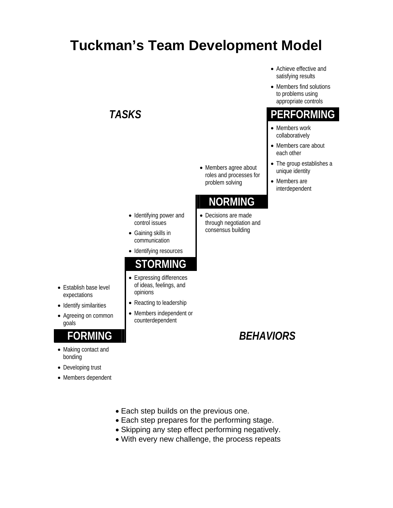# **Tuckman's Team Development Model**

• Members agree about roles and processes for problem solving

#### **NORMING**

- Decisions are made through negotiation and consensus building
- 
- -
- Identifying power and control issues
- Gaining skills in communication
- Identifying resources

#### **STORMING**

- Expressing differences of ideas, feelings, and opinions
- Reacting to leadership
- Members independent or counterdependent
- Achieve effective and satisfying results
- Members find solutions to problems using appropriate controls

### *TASKS* **PERFORMING**

- Members work collaboratively
- Members care about each other
- The group establishes a unique identity
- Members are interdependent

### **FORMING** *BEHAVIORS*

- Establish base level expectations
- Identify similarities
- Agreeing on common goals

- Making contact and bonding
- Developing trust
- Members dependent
- Each step builds on the previous one.
- Each step prepares for the performing stage.
- Skipping any step effect performing negatively.
- With every new challenge, the process repeats